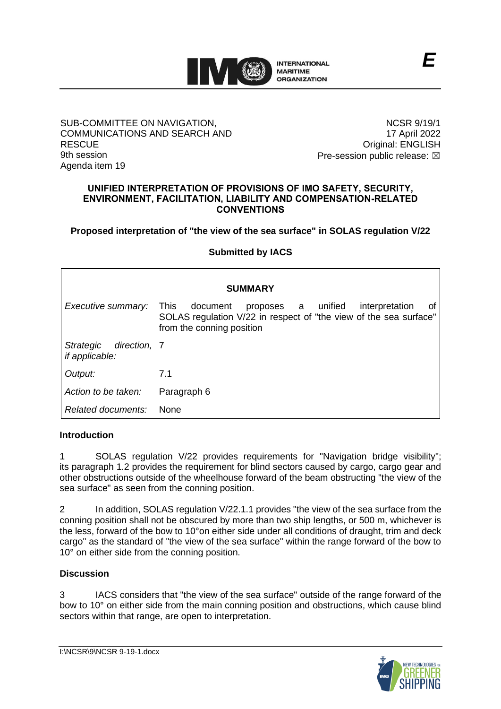

## SUB-COMMITTEE ON NAVIGATION, COMMUNICATIONS AND SEARCH AND **RESCUE** 9th session Agenda item 19

NCSR 9/19/1 17 April 2022 Original: ENGLISH Pre-session public release:  $\boxtimes$ 

*E*

### **UNIFIED INTERPRETATION OF PROVISIONS OF IMO SAFETY, SECURITY, ENVIRONMENT, FACILITATION, LIABILITY AND COMPENSATION-RELATED CONVENTIONS**

**Proposed interpretation of "the view of the sea surface" in SOLAS regulation V/22**

## **Submitted by IACS**

| <b>SUMMARY</b>                              |                                                                                                                                                                         |
|---------------------------------------------|-------------------------------------------------------------------------------------------------------------------------------------------------------------------------|
| Executive summary:                          | proposes a unified<br>interpretation<br><b>This</b><br>document<br>Οt<br>SOLAS regulation V/22 in respect of "the view of the sea surface"<br>from the conning position |
| Strategic<br>direction, 7<br>if applicable: |                                                                                                                                                                         |
| Output:                                     | 7.1                                                                                                                                                                     |
| Action to be taken:                         | Paragraph 6                                                                                                                                                             |
| Related documents:                          | <b>None</b>                                                                                                                                                             |

## **Introduction**

1 SOLAS regulation V/22 provides requirements for "Navigation bridge visibility"; its paragraph 1.2 provides the requirement for blind sectors caused by cargo, cargo gear and other obstructions outside of the wheelhouse forward of the beam obstructing "the view of the sea surface" as seen from the conning position.

2 In addition, SOLAS regulation V/22.1.1 provides "the view of the sea surface from the conning position shall not be obscured by more than two ship lengths, or 500 m, whichever is the less, forward of the bow to 10°on either side under all conditions of draught, trim and deck cargo" as the standard of "the view of the sea surface" within the range forward of the bow to 10<sup>°</sup> on either side from the conning position.

# **Discussion**

3 IACS considers that "the view of the sea surface" outside of the range forward of the bow to 10° on either side from the main conning position and obstructions, which cause blind sectors within that range, are open to interpretation.

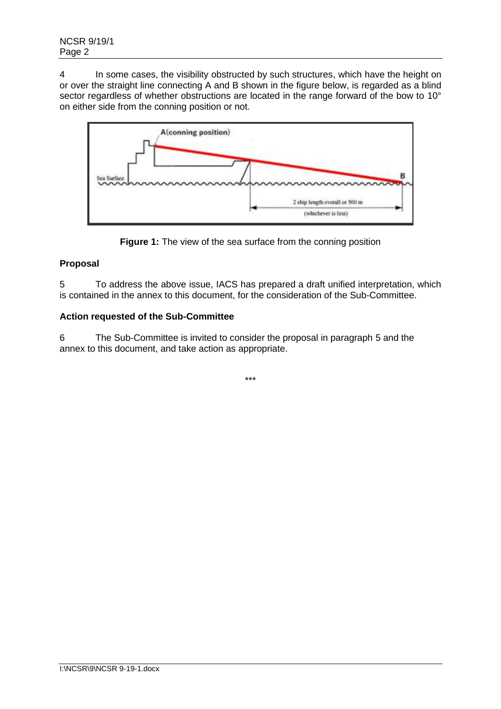4 In some cases, the visibility obstructed by such structures, which have the height on or over the straight line connecting A and B shown in the figure below, is regarded as a blind sector regardless of whether obstructions are located in the range forward of the bow to 10° on either side from the conning position or not.



**Figure 1:** The view of the sea surface from the conning position

# **Proposal**

5 To address the above issue, IACS has prepared a draft unified interpretation, which is contained in the annex to this document, for the consideration of the Sub-Committee.

# **Action requested of the Sub-Committee**

6 The Sub-Committee is invited to consider the proposal in paragraph 5 and the annex to this document, and take action as appropriate.

\*\*\*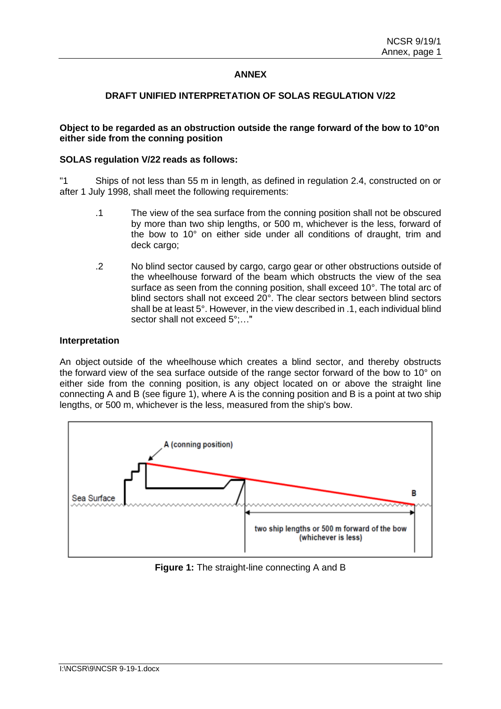# **ANNEX**

## **DRAFT UNIFIED INTERPRETATION OF SOLAS REGULATION V/22**

### **Object to be regarded as an obstruction outside the range forward of the bow to 10°on either side from the conning position**

### **SOLAS regulation V/22 reads as follows:**

"1 Ships of not less than 55 m in length, as defined in regulation 2.4, constructed on or after 1 July 1998, shall meet the following requirements:

- .1 The view of the sea surface from the conning position shall not be obscured by more than two ship lengths, or 500 m, whichever is the less, forward of the bow to 10° on either side under all conditions of draught, trim and deck cargo;
- .2 No blind sector caused by cargo, cargo gear or other obstructions outside of the wheelhouse forward of the beam which obstructs the view of the sea surface as seen from the conning position, shall exceed 10°. The total arc of blind sectors shall not exceed 20°. The clear sectors between blind sectors shall be at least 5°. However, in the view described in .1, each individual blind sector shall not exceed 5°:..."

#### **Interpretation**

An object outside of the wheelhouse which creates a blind sector, and thereby obstructs the forward view of the sea surface outside of the range sector forward of the bow to 10° on either side from the conning position, is any object located on or above the straight line connecting A and B (see figure 1), where A is the conning position and B is a point at two ship lengths, or 500 m, whichever is the less, measured from the ship's bow.



**Figure 1:** The straight-line connecting A and B